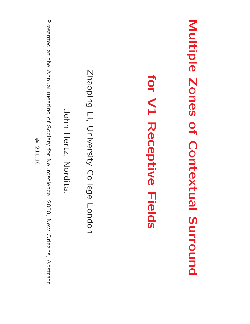| Presented at the Annual meeting of Society for Neuroscience,<br>Zhaoping Li, University College<br>for V1 Receptive Fields<br>John Hertz, Nordita.<br>$\#$ 211.10<br>2000, New Orleans, Abstract<br>Lobdon |
|------------------------------------------------------------------------------------------------------------------------------------------------------------------------------------------------------------|
| Multiple Zones of Contextr<br><u>ol</u><br>Surround                                                                                                                                                        |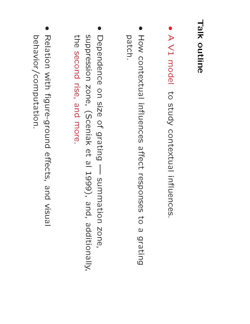#### Talk<br>Y outline **.** ന  $\mathcal{P}$  $\begin{matrix} 2 & 1 \\ 1 & 2 \end{matrix}$

- model  $\sigma$ study contextual in
uences.  $\bullet$   $\bullet$ How
- contextual in
uences as<br>altect<br>affect rmuelles<br>Fesponses<br>responses to  $\Omega$  and the set of  $\Omega$ grating How c<br>How c  $\bullet$  and the state  $\bullet$ patch.<br>Dependence on<br>C asi.<br>Distriktor<br>Distriktor and and an international series of the contract of the contract of the contract of the contract of the contract<br>Gluis de contract of the contract of the contract of the contract of the contract of the contract of the contr | H <u>D</u> summation
- $\overline{O}$ zone, supprendenc<br>Dependenc<br>Suppression on s<br>zone, (Sceniak et 2.<br>G  $\overline{\sigma}$  . - sumı<br>1999), iatio<br>and, additionally, De<br>11 Sup<br>11 Sep endenc<br>pressior<br>second rise<br>zon<br>zon and<br>and<br>and<br>and more.  $\bullet$  and the state  $\bullet$ Pris<br>The Seco<br>Relation s:<br>| E<br>| EH<br>| Mith e, and more<br>e, and more<br>figure-ground and<br>D<br>D<br>C
- behavior/computation. behavior/computation.effects, visual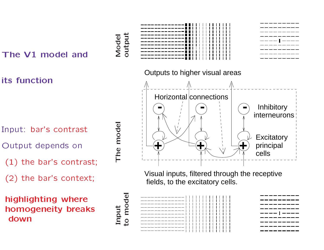#### The V1 model and

its function

- Input: bar's contrast
- Output depends on
- nput: bar's contrast<br>)utput depends on<br>(1) the bar's contrast; )utput depends on<br>(1) the bar's contrast<br>(2) the bar's context; (1) the bar's contra<br>(2) the bar's contex<br>highlighting where
- 

(2) the bar's context;<br> **highlighting where**<br> **homogeneity breaks** highlighting where<br>homogeneity break<br>down





Visual inputs, filtered through the receptive fields, to the excitatory cells.

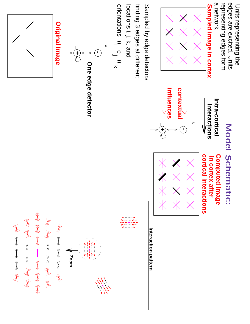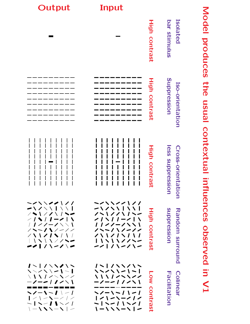| Output                                                                                                                                                                                                                                                                                            | Input                                                                                                                                                                |                         |                                                      |                                        |
|---------------------------------------------------------------------------------------------------------------------------------------------------------------------------------------------------------------------------------------------------------------------------------------------------|----------------------------------------------------------------------------------------------------------------------------------------------------------------------|-------------------------|------------------------------------------------------|----------------------------------------|
|                                                                                                                                                                                                                                                                                                   |                                                                                                                                                                      | High<br>contrast        | <b>Isolated</b><br>bar stimulus                      | Model<br>produces                      |
|                                                                                                                                                                                                                                                                                                   |                                                                                                                                                                      | <b>High</b><br>contrast | Suppression<br>Iso-orientation                       | <b>the</b><br><b>Isual</b>             |
|                                                                                                                                                                                                                                                                                                   |                                                                                                                                                                      | <b>High contrast</b>    | <b>Iess suppressi</b><br>Cross-orienta<br>9D<br>tion | contextual<br>$\overline{\mathbf{B}}$  |
| <b>ーンヽヽンノー</b> / ノノ<br>$-1$ / $-1$ / $-1$<br>/ ヽ \ / / \ / ヽー<br>$\angle$ / $\angle$ / $\angle$ / $\angle$<br>/////-////<br>$1 - 111 - 111$<br>$\angle$ \ \ $\angle$   \ $\angle$   \ $\angle$<br>$\vert \ \vert \ \setminus \ \setminus \ \setminus \ \setminus \ \setminus \ \sim$<br>$-111111$ | ーンヽヽンンlノノ<br>ーノノヽヽ丨ヽヽ丨<br>ノヘーノノヽノヘー<br><u>/////-///</u><br>11//-////<br>ノヘーノヽノーノノ<br>ノヽヽノノヽノヽノ<br>  \ヽ\ \ / / \ 一<br>ーノーノヽーノヽー                                       | High<br><b>contrast</b> | suppression<br><b>Random</b><br><b>Surround</b>      | <b>fluenc</b><br><b>CO</b><br>observed |
| ノ〜  / \ \ / \ ~<br>$\{\times\}$ $\{\times\}$ $\{\times\}$ $\{\times\}$<br>\\\ \\\\\<br>ーノーー / ノン\丨<br>---------<br>$\sim$ /-1-1 -1 <br>$1$ / $\sim$ $\sim$ $\sim$ $\sim$ $\sim$ $\sim$ $\sim$<br>$\sim$   $\sim$ /   $\sim$ /<br>$\vert -1$ $\vert -1$ $\vert -1$                                 | / ヽ    / ヽヽ / ヽヽ<br>1 - 1 - 1 / / / /<br><b>ヽヽヽ / /ヽヽヽ//</b><br>ーノーーIノノヽ\<br>ヽノーヽ~ / ヽー /<br>  ノ \ ー \ ー / / /<br>$-1$ \ $-1$ \ \ $\sim$ /<br><b>1-1 / - / / - /</b> | <b>Low</b><br>contrast  | Facilitation<br><b>Colinear</b>                      | 5<br>$\sum$                            |

## Model produces the  $\frac{1}{2}$ usual contextual in
uences observed in the set of the set of the set of the set of the set of the set of the set of the set of the set of the set  $\mathbf{Y}$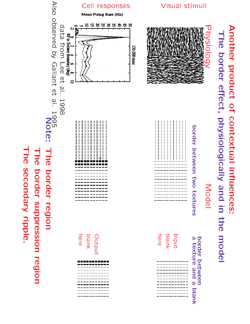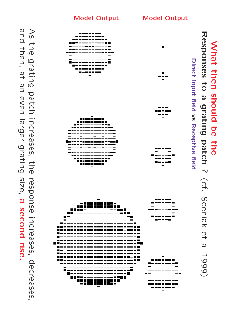

he gr<br>then,  $\frac{1}{2}$  at  $\frac{1}{2}$ larger resp<br>dsep and then, at an even larger grating size, a second rise.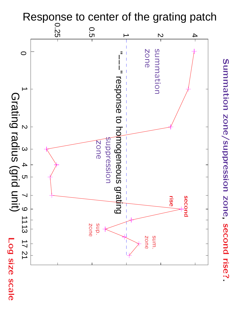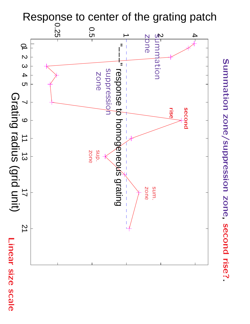

scale

Summation zone/suppression zone, second rise?.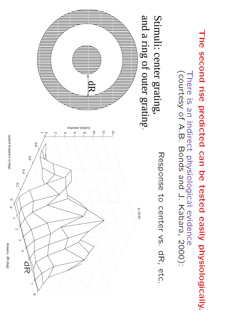

spatial frequency (c/deg) spatial frequency (c/deg)

0

 $\circ$ 

distance, dR (deg) distance, dR (deg)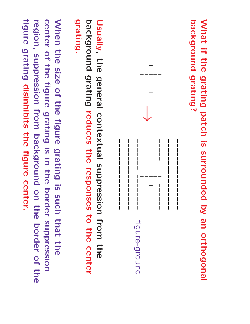What<br>What  $\frac{1}{2}$  is a set of  $\frac{1}{2}$ the structure  $\frac{1}{2}$ grating patch  $\overline{\mathbf{S}}$  is a set of  $\overline{\mathbf{S}}$ surrounded **by** the state  $\mathbf{p}$ anno 1920<br>Daoine ann am Suatair an Suatair an t-Iomraid ann am Aon am Aon am an t-Iomraid ann am Aon am Aon am Aon am Ao orthogonal What if the<br>Mhat if the grating?



Usually, general contextual Usually, the<br>Dackground reduces i||||<br>|- 프 리 responses the magnetic  $\frac{1}{2}$ center Usually,<br>grating.<br>When t the<br>City of the set size<br>size<br>size of i<br>District<br>District duces<br>duces<br>igure lal Sup<br>the res<br>grating is ssion<br>sess<br>such n<br>19<br>19<br>19<br>19 the state<br>and state<br>and state <u>ain 5,</u> m con<br>redu<br>from<br>from

-<br>When<br>Center d<br>Pie i<br>siz<br>siz<br>siz ence is a control of the control of the control of the control of the control of the control of the control of the control of the control of the control of the control of the control of the control of the control of the co reauces<br>e figure<br>grating  $\overline{\mathbf{b}}$  is a set of  $\overline{\mathbf{b}}$ the<br>the<br>the border o the cente<br>:hat the<br>suppression When<br>center<br>region, he size of t<br>of the figure<br>suppression Ire grating i<br>1g is in the<br>background on<br>Online<br>Online ch<br>and<br>the hat the<br>suppres<br>border of the  $\frac{1}{100}$ When<br>cente<br>figure the siz<br>of the<br>grating or the Hg<br>igure grat<br>sion from<br>disinhibits **the second** gratin<br>kgrou<br>figure center.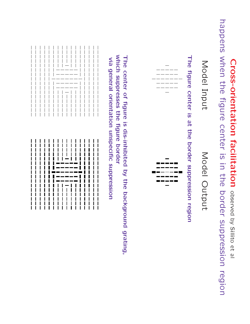#### Cross-orientation facilitation observed by Sillito  $\mathcal{P}_{\mathbf{t}}$  $\overline{\sigma}$ Cros<br>Cros ing<br>the<br>conder iental<br>figure center  $\overline{\omega}$ is di controlle di controlle di controlle di controlle di controlle di controlle di controlle di controlle di controlle di controlle di controlle di controlle di controlle di controlle di controlle di controlle di in in i ion<br>ion border suppression

happens region ansi<br>e figl<br>a figl n <sub>opserv</sub><br>Ie borde<br>Output

Model<br>Model<br>Model i<br>Model<br>Model  $\sum_{\mathbf{r}}$ pdel<br>Pole center  $\overline{\mathbf{S}}$  is a set of  $\overline{\mathbf{S}}$  $\frac{a}{1}$ the  $\frac{1}{2}$ border suppression

region



The  $\frac{1}{2}$ center of figure ົດ <del>ທີ່</del> dis-inhibited by the structure  $\frac{1}{2}$ background grating, The c<br>Which suppresses the s dis-i<br>figure border بر<br>الحافظ<br>Signal which suppresses the figure border<br>via general orientation unspecific suppression of figure is<br>asses the fi<br>orientation iis-inhibite<br>lure borde<br>unspecific suppression

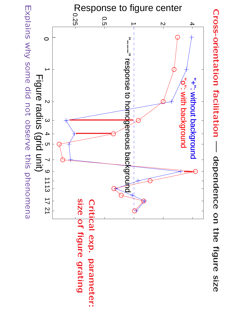

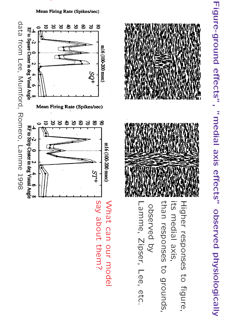#### Mean Firing Rate (Spikes/sec)

produced a contract the contract of the contract of the contract of the contract of the contract of the contract of





Figure-ground effects", "<br>"medial axis effects" observed physiologically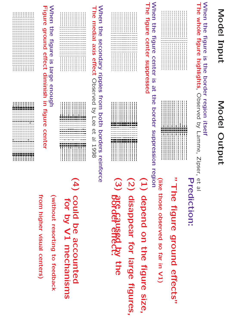#### Model Input  $\sum_{n=1}^{\infty}$ de<br>15 a l Inp<br>Inp  $\overline{\mathbf{w}}$   $\overline{\mathbf{w}}$ the structure  $\frac{1}{2}$  $\geq$   $\frac{\text{S}}{\text{S}}$ ode<br>n the<br>whole Inpl<br><sup>igure</sup><br>figure

#### Model Output region Moc<br>ir region<br>Observed

## border **a**<br>trself:<br>C s the bord<br>highlights,

Lamme, Zipser,  $\mathcal{P}_{\mathbf{t}}$  $\overline{\sigma}$ 

| <b>When</b><br><b>The</b><br>figure<br>the |                                                                                                            |  |
|--------------------------------------------|------------------------------------------------------------------------------------------------------------|--|
| figure<br>center suppl<br>center           | I<br>I<br>ı<br>ı<br>ı<br>ı<br>ı<br>ı<br>ı<br>ı<br>ı<br>ı<br>ı<br>ı<br>ı<br>ı<br>ı<br>ı<br>I<br>ı<br>ı<br>ı |  |



# et al<br>Prediction:<br>"The figur

#### tion:<br>figure around.<br>and the set of the set of the set of the set of the set of the set of the set of the set of the set of the set effects" n<br>T<br>Hike those<br>コーヒー<br>コーヒー on:<br>**Jure g**<br>Observed so di controlle di controlle di controlle di controlle di controlle di controlle di controlle di controlle di <br>Di controlle di controlle di controlle di controlle di controlle di controlle di controlle di controlle di con<br> E<br>Fa ing the control of the control of the control of the control of the control of the control of the control of t<br>in the control of the control of the control of the control of the control of the control of the control of th  $\sum_{i=1}^{n}$ e figur<br><sub>inose obse</sub><br>depend on a G<br>G oun<br>of a<br>the l effec $\frac{1}{n}$  v1)<br>n V1)

region<br>الله<br>الله علي<br>الله علي

## $\sim$  is the set of  $\sim$  $\frac{a}{1}$ n<br>그는 시 <sub>∷∷</sub><br>igure (<br>igure ( **suppressed**<br>enter is at<br>suppressed

| Ş<br>ወ<br>$\bar{\mathfrak{G}}$<br>⊃<br>Β<br>5<br>ര<br>യ                              | ı                                         |  |
|--------------------------------------------------------------------------------------|-------------------------------------------|--|
| ທ<br>ര<br>O<br>$\overline{\mathsf{O}}$<br>ທ<br>∍<br>ڣ<br>$\frac{1}{2}$<br><b>ALL</b> | ı<br>ı<br>ı<br>ı<br>Ī<br>ı<br>ı<br>ı<br>ı |  |



r<br>Lilie<br>Lilie size,  $\frac{(\text{like})}{(2)}$ mana<br>depend o<br>disappear for r in V1<br><sup>9</sup><br>Iary<br>Iary<br>Iarge re size,<br>figures,  $\left(\frac{1}{2}\right)$ der<br>aris<br>are <sub>cobserved</sub><br>end on<br>ppear 1<br>caused <u>t</u> k à depend on the fig<br>disappear for larg<br>**666649988629**<br>could be account

become discrete the control of the control of the control of the control of the control of the control of the <br>become discrete the control of the control of the control of the control of the control of the control of the<br>c ect<sup>o</sup><br>accounted<br>accounted

### $\in$  4 ripples n the s<br>medial axis<br>acor<br>axis eer<br>Jary<br>effect n<br>p**ples fro**<br>Observed<br>Observed 유호 - E  $\overline{a}$

| When<br>⊢ <b>igure</b><br>the<br>                       | I<br>ı<br>ı<br>ı<br>ı<br>ı<br>ı<br>I<br>ı<br>I<br>ı<br>ı<br>ı<br>ı<br>I<br>ı<br>I<br>Ï<br>Ī<br>Ī<br>ı<br>ı<br>I<br>ı<br>ı<br>ı<br>ı<br>I<br>ı<br>I<br>ı<br>I<br>I<br>ı<br>ı<br>ı<br>ı<br>ı<br>ı<br>ı<br>I<br>ı<br>ı<br>ı<br>ı<br>ı<br>ı<br>I<br>ı<br>I<br>ı<br>I<br>I<br>ı<br>ı<br>I<br>ı<br>ı<br>I<br>ı<br>ı<br>ı<br>I<br>ı                                                                                 |  |
|---------------------------------------------------------|--------------------------------------------------------------------------------------------------------------------------------------------------------------------------------------------------------------------------------------------------------------------------------------------------------------------------------------------------------------------------------------------------------------|--|
| ground effect di<br>figure<br>$\overline{0}$<br>· large | ı<br>I<br>ı<br>ı<br>ı<br>ı<br>I<br>I<br>I<br>I<br>ı<br>ı<br>ı<br>ı<br>ı<br>I<br>I<br>I<br>١<br>I<br>Ï<br>I<br>I<br>ı<br>ı<br>ı<br>ı<br>I<br>I<br>ı<br>I<br>ı<br>I<br>I<br>I<br>ı<br>I<br>ı<br>I<br>ı<br>ı<br>ı<br>ı<br>ı<br>ı<br>ı<br>Ī<br>ı<br>ı<br>ı<br>ı<br>I<br>ı<br>ı<br>ı<br>ı<br>ı<br>ı<br>ı<br>ı<br>ı<br>ı<br>ı<br>I<br>ı<br>ı<br>ı<br>I<br>ı<br>ı<br>I<br>ı<br>ı<br>ı<br>ı<br>ı<br>ı<br>ı<br>I<br>ı |  |
| iminish<br>enough<br>$\overline{\phantom{0}}$           | ı<br>Ī<br>Ï<br>ı<br>ī<br>ı<br>ı<br>Ī<br>ı<br>ı<br>ı<br>ī<br>ı<br>Ī                                                                                                                                                                                                                                                                                                                                           |  |

| . .<br>ម<br>5<br>5<br>dure<br>◠<br>ወ<br>Н | ı           | ı<br>ı<br>ı<br>ı      | ı<br>ı<br>ı<br>ı<br>. <b>.</b><br>------- | ı           | ı<br>ı<br>ı | ı<br>ı<br>ı<br>ı | ı<br>ı<br>ı<br>ı | ı<br>L<br>ı<br>ı | ı<br>ı<br>ı<br>ı | ı<br>ı<br>ı<br>ı | ı<br>ı<br>ı<br>ı<br>ı | ı<br>ı<br>п<br>ı<br>ı | ı<br>------------- |  |
|-------------------------------------------|-------------|-----------------------|-------------------------------------------|-------------|-------------|------------------|------------------|------------------|------------------|------------------|-----------------------|-----------------------|--------------------|--|
| ወ                                         | ı<br>ı<br>ı | ı<br>ı<br>ı<br>ı<br>ı | ı<br>ı<br>ı<br>ı<br>ī                     | ı<br>ı<br>ı | ı<br>ı<br>ı | ı<br>ı<br>ı<br>ī | ı<br>ı<br>ı<br>ı | ı<br>ı<br>ı      | ı<br>ı<br>ı<br>ī | ı<br>ı<br>ı<br>ı | ı<br>ı<br>ı<br>ı<br>ı | ı<br>ı<br>ı<br>ı<br>ı | ı<br>ı             |  |

# ijjjiji<br>gure<br>gure center

| ı<br>ı  |    |   |          |    |         | ,,,,,,,<br>.  |                           | . . | .   | . . |  |
|---------|----|---|----------|----|---------|---------------|---------------------------|-----|-----|-----|--|
|         |    |   |          |    |         |               | ,,,,,,,,,<br>iiiiiinuu    |     | I.  | п   |  |
|         |    |   |          |    |         |               | -----------               |     |     |     |  |
|         |    |   |          |    |         |               | -----------               |     |     |     |  |
|         |    |   |          |    |         |               | ---------                 |     | --- |     |  |
|         |    |   |          |    |         |               |                           |     |     |     |  |
|         |    |   | ---      |    | $- -$   |               |                           |     |     |     |  |
|         | ٠. |   | ٠.<br>٠. |    | ٠<br>٠. |               |                           |     |     |     |  |
|         |    |   |          |    |         |               | -----------               |     |     |     |  |
|         |    |   |          |    |         |               | -----------               |     |     |     |  |
|         |    |   |          |    |         |               | -----------               |     |     |     |  |
|         |    |   |          |    |         |               | -----------               |     |     |     |  |
|         |    |   |          |    |         |               | ----------<br>----------- |     |     |     |  |
|         |    |   |          |    |         |               | -----------               |     |     |     |  |
|         |    |   |          |    |         |               | -----------               |     |     |     |  |
|         |    |   |          |    |         |               | ----------                |     |     |     |  |
|         |    |   |          |    |         |               | ----------                |     |     |     |  |
|         |    |   |          |    |         |               | -----------               |     |     |     |  |
|         |    |   |          |    |         |               | -----------               |     |     |     |  |
|         |    |   |          |    |         |               | -----------               |     |     |     |  |
|         |    |   |          |    |         |               | -----------               |     |     |     |  |
|         |    |   |          |    |         |               | ----------                |     |     |     |  |
|         |    |   |          |    |         |               | ----------                |     |     |     |  |
|         |    |   |          | ٠. |         | J.            |                           |     |     |     |  |
| ۰<br>-- |    |   | ---      |    |         |               |                           |     |     |     |  |
| --      |    |   |          |    |         |               |                           |     |     |     |  |
|         |    |   |          |    |         | -------       |                           |     |     |     |  |
|         |    |   |          |    |         | ii ii i i i i |                           |     |     |     |  |
|         | .  |   |          |    | .       |               | ш                         | ı   |     | ш   |  |
| ı       | ı  | ı | ı        | ı  | ı       | - 1           | ı                         |     |     |     |  |
| Ĩ       | ı  | ı | ı        | ı  | ı       | ı             | ı                         |     |     | ι   |  |
|         |    |   |          |    |         |               |                           |     |     |     |  |

ⅡⅡⅢⅢⅡⅡⅡⅡⅡⅡⅡⅡⅡⅡⅡⅡⅡⅡⅡⅡⅡⅡⅡⅢⅢⅡⅡ

# to feedt<br>centers)

#### for by  $\sum_{\alpha}$ mechanisms couru<br>for by<br>couru be acc<br>V1 m<br>V1 m 5 Q Q nted<br>hanisn<br>feedback COL<br>forth<br>from

out re:<br>higher from higher visual centers)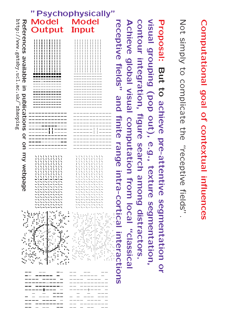#### "Psychophysically", "Psychophysically", "Psychophysically", "Psychophysically", "Psychophysically", "Psychophysically", "Psychophysically", "Psychophysically", "Psychophysically", "Psychophysically", "Psychophysically", "P http://www.gatsby.ucl.ac.uk/<sup>/</sup>zhaoping http://www.gatsby.ucl.ac.uk/~zhaopingreceptive fields" and finite range intra-cortical interactions<br>interactions and finite range intra-cortical interactions<br>interactions and finite range intra-cortical intervalses in the second interval interval interval int Proposa<br>visual g<br>Contour<br>Achieve Proposa<br>visual g<br>contour visual **References**<br>Before<br>References<br>References visual gre<br>Contour i<br>Achieve ( Not sımpl<u>ı</u><br>Proposal: Not Model and the contract of the contract of the contract of the contract of the contract of the contract of the <u>Output van die Staatsman van die Staatsman van die Staatsman van die Staatsman van die Staatsman van die Staatsman van die Staatsman van die Staatsman van die Staatsman van die Staatsman van die Staatsman van die Staatsma</u> Input andat<br>simply nply to co<br>**sal: But**<br>grouping available global : But to ac<br>ouping (por<br>integration, But<br>Itegral<br>Tields"<br>fields" D<br>C<br>C<br>C<br>C<br>C<br>C to complicate 5' ======== a š tion,<br>visual popic<br>o ac<br>o ac publications r and<br>and and<br>and and licate th<br>achieve nieve<br>out),<br>figure out),<br>rigure<br>com<br>finite out), ieve pre-atte<br>out), e.g., te<br>igure search<br>computation or the pre-attentive<br>pre-attentive on e.g.,<br>utatic<br>range re-a<br>e.g., recep<br>**e.g., t**<br>search<br>search extual int<br>intereptive  $\overline{B}$  with **MODORO CONTRA PROPERTY AND TANK AND CONTRACT ON A PARTIE OF A PARTIE OF A PARTIE OF A PARTIE OF A PARTIE OF A** ptive fie<br>tentive<br>texture intra-cortical ive lield<br>Ature S<br>among ve fie<br>filise<br>from<br>from uci<br>fields".<br>fields". inces<br>Ids".<br>Segmentation segmentation, local gmentatior<br>:gmentatior<br>distractors. leoisselo.,<br>softors.<br>sical o<sub>r</sub> —————<br>——+——<br>———<br>———— --+--<br>\_-<br>\_---

Computational

goal

of

contextual

in
uences